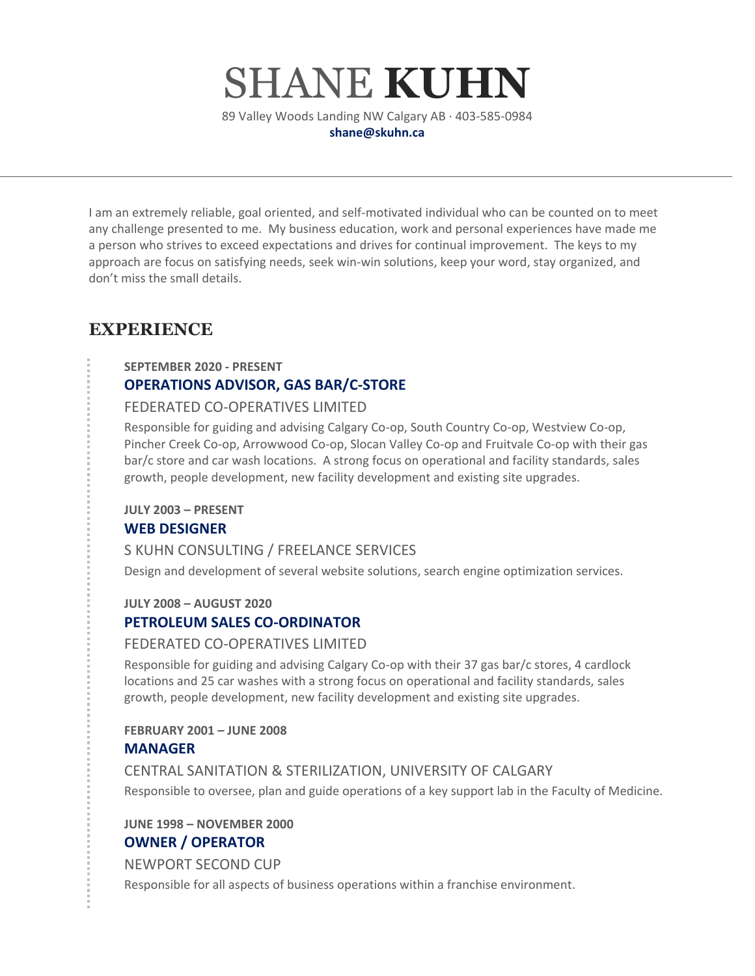# SHANE **KUHN**

89 Valley Woods Landing NW Calgary AB · 403-585-0984 **shane@skuhn.ca**

I am an extremely reliable, goal oriented, and self-motivated individual who can be counted on to meet any challenge presented to me. My business education, work and personal experiences have made me a person who strives to exceed expectations and drives for continual improvement. The keys to my approach are focus on satisfying needs, seek win-win solutions, keep your word, stay organized, and don't miss the small details.

# **EXPERIENCE**

**SEPTEMBER 2020 - PRESENT**

# **OPERATIONS ADVISOR, GAS BAR/C-STORE**

#### FEDERATED CO-OPERATIVES LIMITED

Responsible for guiding and advising Calgary Co-op, South Country Co-op, Westview Co-op, Pincher Creek Co-op, Arrowwood Co-op, Slocan Valley Co-op and Fruitvale Co-op with their gas bar/c store and car wash locations. A strong focus on operational and facility standards, sales growth, people development, new facility development and existing site upgrades.

**JULY 2003 – PRESENT**

## **WEB DESIGNER**

## S KUHN CONSULTING / FREELANCE SERVICES

Design and development of several website solutions, search engine optimization services.

#### **JULY 2008 – AUGUST 2020**

## **PETROLEUM SALES CO-ORDINATOR**

#### FEDERATED CO-OPERATIVES LIMITED

Responsible for guiding and advising Calgary Co-op with their 37 gas bar/c stores, 4 cardlock locations and 25 car washes with a strong focus on operational and facility standards, sales growth, people development, new facility development and existing site upgrades.

#### **FEBRUARY 2001 – JUNE 2008**

## **MANAGER**

CENTRAL SANITATION & STERILIZATION, UNIVERSITY OF CALGARY Responsible to oversee, plan and guide operations of a key support lab in the Faculty of Medicine.

## **JUNE 1998 – NOVEMBER 2000 OWNER / OPERATOR**

NEWPORT SECOND CUP

Responsible for all aspects of business operations within a franchise environment.